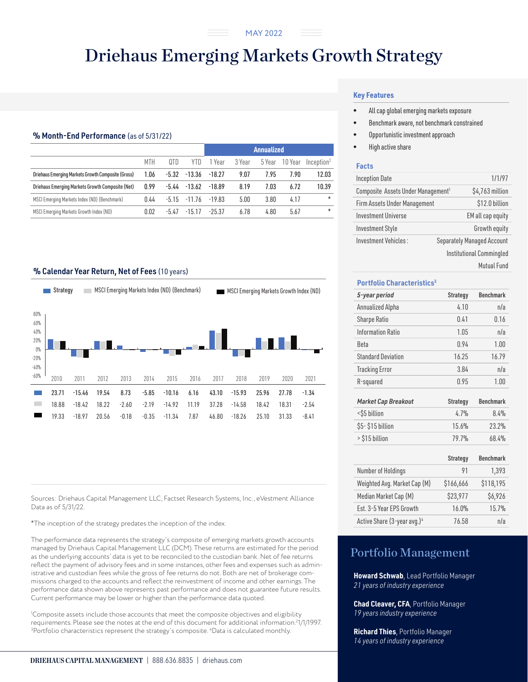# Driehaus Emerging Markets Growth Strategy

..............

# % Month-End Performance (as of 5/31/22)

|                                                    |      |         |          | <b>Annualized</b> |        |        |         |                        |
|----------------------------------------------------|------|---------|----------|-------------------|--------|--------|---------|------------------------|
|                                                    | MTH  | QTD     | YTD      | i Year            | 3 Year | 5 Year | 10 Year | Inception <sup>2</sup> |
| Driehaus Emerging Markets Growth Composite (Gross) | 1.06 | $-5.32$ | $-13.36$ | $-18.27$          | 9.07   | 7.95   | 7.90    | 12.03                  |
| Driehaus Emerging Markets Growth Composite (Net)   | 0.99 | -5.44   | $-13.62$ | $-18.89$          | 8.19   | 7.03   | 6.72    | 10.39                  |
| MSCI Emerging Markets Index (ND) (Benchmark)       | 0.44 | $-5.15$ | $-11.76$ | $-19.83$          | 5.00   | 3.80   | 4.17    | $\star$                |
| MSCI Emerging Markets Growth Index (ND)            | 0.02 | $-5.47$ | $-15.17$ | $-25.37$          | 6.78   | 4.80   | 5.67    | $\star$                |

# % Calendar Year Return, Net of Fees (10 years)



Sources: Driehaus Capital Management LLC, Factset Research Systems, Inc., eVestment Alliance Data as of 5/31/22.

\*The inception of the strategy predates the inception of the index.

The performance data represents the strategy's composite of emerging markets growth accounts managed by Driehaus Capital Management LLC (DCM). These returns are estimated for the period as the underlying accounts' data is yet to be reconciled to the custodian bank. Net of fee returns reflect the payment of advisory fees and in some instances, other fees and expenses such as administrative and custodian fees while the gross of fee returns do not. Both are net of brokerage commissions charged to the accounts and reflect the reinvestment of income and other earnings. The performance data shown above represents past performance and does not guarantee future results. Current performance may be lower or higher than the performance data quoted.

1 Composite assets include those accounts that meet the composite objectives and eligibility requirements. Please see the notes at the end of this document for additional information.<sup>2</sup>1/1/1997.<br><sup>3</sup>Portfolio characteristics represent the strategy's composite <sup>4</sup>Data is calculated monthly. Portfolio characteristics represent the strategy's composite. 4 Data is calculated monthly.

# **Key Features**

- All cap global emerging markets exposure
- Benchmark aware, not benchmark constrained
- Opportunistic investment approach
- High active share

### **Facts**

| <b>Inception Date</b>                          |  | 1/1/97                            |
|------------------------------------------------|--|-----------------------------------|
| Composite Assets Under Management <sup>1</sup> |  | \$4,763 million                   |
| Firm Assets Under Management                   |  | \$12.0 billion                    |
| <b>Investment Universe</b>                     |  | EM all cap equity                 |
| <b>Investment Style</b>                        |  | Growth equity                     |
| Investment Vehicles:                           |  | <b>Separately Managed Account</b> |
|                                                |  | Institutional Commingled          |

Mutual Fund

#### **Portfolio Characteristics3**

| 5-year period              | <b>Strategy</b> | <b>Benchmark</b> |
|----------------------------|-----------------|------------------|
| Annualized Alpha           | 4.10            | n/a              |
| <b>Sharpe Ratio</b>        | 0.41            | 0.16             |
| Information Ratio          | 1.05            | n/a              |
| Beta                       | 0.94            | 1.00             |
| <b>Standard Deviation</b>  | 16.25           | 16.79            |
| <b>Tracking Error</b>      | 3.84            | n/a              |
| R-squared                  | 0.95            | 1.00             |
|                            |                 |                  |
| <b>Market Cap Breakout</b> | <b>Strategy</b> | <b>Benchmark</b> |
| <\$5 billion               | 4.7%            | 8.4%             |
| \$5-\$15 billion           | 15.6%           | 23.2%            |
| > \$15 billion             | 79.7%           | 68.4%            |
|                            |                 |                  |

|                                         | <b>Strategy</b> | <b>Benchmark</b> |
|-----------------------------------------|-----------------|------------------|
| Number of Holdings                      | 91              | 1,393            |
| Weighted Avg. Market Cap (M)            | \$166,666       | \$118,195        |
| Median Market Cap (M)                   | \$23,977        | \$6,926          |
| Est. 3-5 Year EPS Growth                | 16.0%           | 15.7%            |
| Active Share (3-year avg.) <sup>4</sup> | 76.58           | n/a              |

# Portfolio Management

**Howard Schwab**, Lead Portfolio Manager *21 years of industry experience*

**Chad Cleaver, CFA**, Portfolio Manager *19 years industry experience*

**Richard Thies**, Portfolio Manager *14 years of industry experience*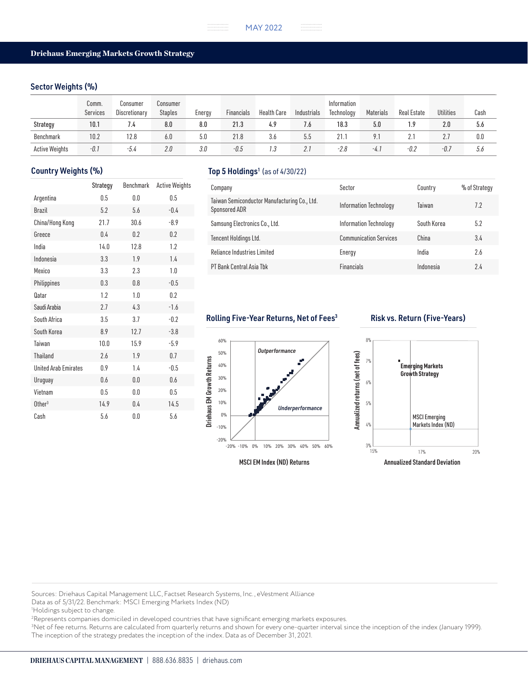## Sector Weights (%)

|                       | Comm.<br>Services | Consumer<br>Discretionary | Consumer<br><b>Staples</b> | Energy | Financials | Health Care | Industrials | Information<br>Technology | Materials | <b>Real Estate</b> | <b>Utilities</b> | Cash |
|-----------------------|-------------------|---------------------------|----------------------------|--------|------------|-------------|-------------|---------------------------|-----------|--------------------|------------------|------|
| Strategy              | 10.1              | 7.4                       | 8.0                        | 8.0    | 21.3       | 4.9         | 7.6         | 18.3                      | 5.0       | 1.9                | 2.0              | 5.6  |
| Benchmark             | 10.2              | 12.8                      | 6.0                        | 5.0    | 21.8       | კ.ტ         | 5.5         | 21.1                      |           |                    |                  | 0.0  |
| <b>Active Weights</b> | -0.1              | $-5.4$                    | 2.0                        | 3.0    | $-0.5$     | 1.3         | 2. i        | $-2.8$                    | $-4.$     | $-0.2$             | -0.7             | 5.6  |

|                             | Strategy | Benchmark | <b>Active Weights</b> |
|-----------------------------|----------|-----------|-----------------------|
| Argentina                   | 0.5      | 0.0       | 0.5                   |
| <b>Brazil</b>               | 5.2      | 5.6       | $-0.4$                |
| China/Hong Kong             | 21.7     | 30.6      | $-8.9$                |
| Greece                      | 0.4      | 0.2       | 0.2                   |
| India                       | 14.0     | 12.8      | 1.2                   |
| Indonesia                   | 3.3      | 1.9       | 1.4                   |
| Mexico                      | 3.3      | 2.3       | 1.0                   |
| Philippines                 | 0.3      | 0.8       | $-0.5$                |
| Qatar                       | 1.2      | 1.0       | 0.2                   |
| Saudi Arabia                | 2.7      | 4.3       | $-1.6$                |
| South Africa                | 3.5      | 3.7       | $-0.2$                |
| South Korea                 | 8.9      | 12.7      | $-3.8$                |
| Taiwan                      | 10.0     | 15.9      | $-5.9$                |
| <b>Thailand</b>             | 2.6      | 1.9       | 0.7                   |
| <b>United Arab Emirates</b> | 0.9      | 1.4       | $-0.5$                |
| Uruguay                     | 0.6      | 0.0       | 0.6                   |
| Vietnam                     | 0.5      | 0.0       | 0.5                   |
| $0$ ther $3$                | 14.9     | 0.4       | 14.5                  |
| Cash                        | 5.6      | 0.0       | 5.6                   |

# Country Weights (%) Top 5 Holdings<sup>1</sup> (as of 4/30/22)

| Company                                                       | Sector                        | Country     | % of Strategy |
|---------------------------------------------------------------|-------------------------------|-------------|---------------|
| Taiwan Semiconductor Manufacturing Co., Ltd.<br>Sponsored ADR | Information Technology        | Taiwan      | 7.2           |
| Samsung Electronics Co., Ltd.                                 | Information Technology        | South Korea | 5.2           |
| Tencent Holdings Ltd.                                         | <b>Communication Services</b> | China       | 3.4           |
| Reliance Industries Limited                                   | Energy                        | India       | 2.6           |
| PT Bank Central Asia Tbk                                      | <b>Financials</b>             | Indonesia   | 24            |

# Rolling Five-Year Returns, Net of Fees<sup>3</sup> Risk vs. Return (Five-Years)





Sources: Driehaus Capital Management LLC, Factset Research Systems, Inc., eVestment Alliance

Data as of 5/31/22. Benchmark: MSCI Emerging Markets Index (ND)

2 Represents companies domiciled in developed countries that have significant emerging markets exposures.

3 Net of fee returns. Returns are calculated from quarterly returns and shown for every one-quarter interval since the inception of the index (January 1999). The inception of the strategy predates the inception of the index. Data as of December 31, 2021.

<sup>1</sup> Holdings subject to change.